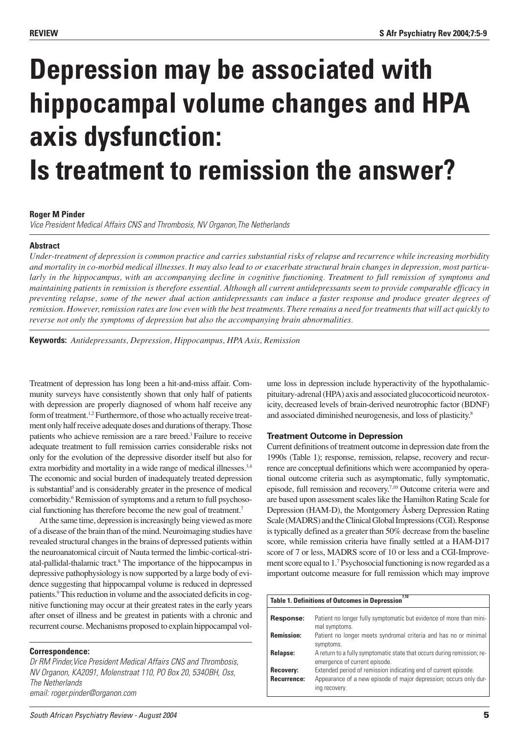# **Depression may be associated with hippocampal volume changes and HPA axis dysfunction: Is treatment to remission the answer?**

# **Roger M Pinder**

Vice President Medical Affairs CNS and Thrombosis, NV Organon,The Netherlands

# **Abstract**

*Under-treatment of depression is common practice and carries substantial risks of relapse and recurrence while increasing morbidity and mortality in co-morbid medical illnesses. It may also lead to or exacerbate structural brain changes in depression, most particularly in the hippocampus, with an accompanying decline in cognitive functioning. Treatment to full remission of symptoms and maintaining patients in remission is therefore essential. Although all current antidepressants seem to provide comparable efficacy in preventing relapse, some of the newer dual action antidepressants can induce a faster response and produce greater degrees of remission. However, remission rates are low even with the best treatments. There remains a need for treatments that will act quickly to reverse not only the symptoms of depression but also the accompanying brain abnormalities.*

**Keywords:** *Antidepressants, Depression, Hippocampus, HPA Axis, Remission*

Treatment of depression has long been a hit-and-miss affair. Community surveys have consistently shown that only half of patients with depression are properly diagnosed of whom half receive any form of treatment.1,2 Furthermore, of those who actually receive treatment only half receive adequate doses and durations of therapy. Those patients who achieve remission are a rare breed.3 Failure to receive adequate treatment to full remission carries considerable risks not only for the evolution of the depressive disorder itself but also for extra morbidity and mortality in a wide range of medical illnesses.<sup>3,4</sup> The economic and social burden of inadequately treated depression is substantial<sup>5</sup> and is considerably greater in the presence of medical comorbidity.<sup>6</sup> Remission of symptoms and a return to full psychosocial functioning has therefore become the new goal of treatment.7

At the same time, depression is increasingly being viewed as more of a disease of the brain than of the mind. Neuroimaging studies have revealed structural changes in the brains of depressed patients within the neuroanatomical circuit of Nauta termed the limbic-cortical-striatal-pallidal-thalamic tract.8 The importance of the hippocampus in depressive pathophysiology is now supported by a large body of evidence suggesting that hippocampal volume is reduced in depressed patients.<sup>9</sup> This reduction in volume and the associated deficits in cognitive functioning may occur at their greatest rates in the early years after onset of illness and be greatest in patients with a chronic and recurrent course. Mechanisms proposed to explain hippocampal vol-

## **Correspondence:**

Dr RM Pinder, Vice President Medical Affairs CNS and Thrombosis, NV Organon, KA2091, Molenstraat 110, PO Box 20, 534OBH, Oss, The Netherlands email: roger.pinder@organon.com

ume loss in depression include hyperactivity of the hypothalamicpituitary-adrenal (HPA) axis and associated glucocorticoid neurotoxicity, decreased levels of brain-derived neurotrophic factor (BDNF) and associated diminished neurogenesis, and loss of plasticity.8

## **Treatment Outcome in Depression**

Current definitions of treatment outcome in depression date from the 1990s (Table 1); response, remission, relapse, recovery and recurrence are conceptual definitions which were accompanied by operational outcome criteria such as asymptomatic, fully symptomatic, episode, full remission and recovery.7,10 Outcome criteria were and are based upon assessment scales like the Hamilton Rating Scale for Depression (HAM-D), the Montgomery Åsberg Depression Rating Scale (MADRS) and the Clinical Global Impressions (CGI). Response is typically defined as a greater than 50% decrease from the baseline score, while remission criteria have finally settled at a HAM-D17 score of 7 or less, MADRS score of 10 or less and a CGI-Improvement score equal to 1.7 Psychosocial functioning is now regarded as a important outcome measure for full remission which may improve

| Table 1. Definitions of Outcomes in Depression <sup>7,10</sup> |                                                                                                                                                       |  |
|----------------------------------------------------------------|-------------------------------------------------------------------------------------------------------------------------------------------------------|--|
| Response:                                                      | Patient no longer fully symptomatic but evidence of more than mini-<br>mal symptoms.                                                                  |  |
| <b>Remission:</b>                                              | Patient no longer meets syndromal criteria and has no or minimal<br>symptoms.                                                                         |  |
| Relapse:                                                       | A return to a fully symptomatic state that occurs during remission; re-<br>emergence of current episode.                                              |  |
| Recovery:<br>Recurrence:                                       | Extended period of remission indicating end of current episode.<br>Appearance of a new episode of major depression; occurs only dur-<br>ing recovery. |  |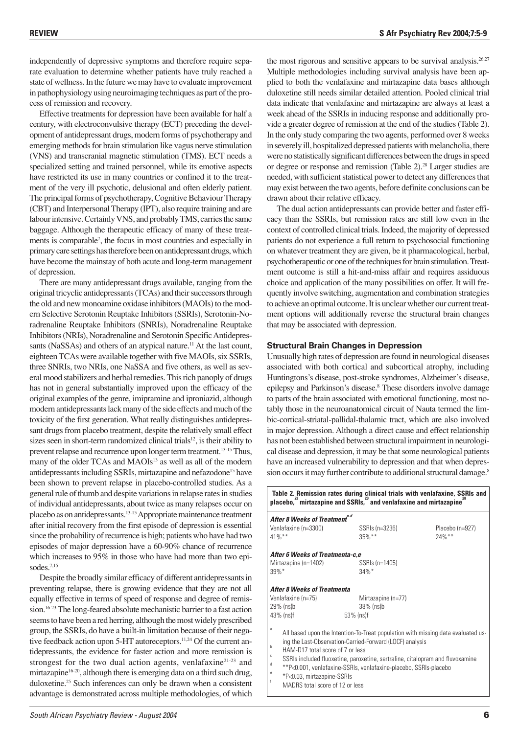independently of depressive symptoms and therefore require separate evaluation to determine whether patients have truly reached a state of wellness. In the future we may have to evaluate improvement in pathophysiology using neuroimaging techniques as part of the process of remission and recovery.

Effective treatments for depression have been available for half a century, with electroconvulsive therapy (ECT) preceding the development of antidepressant drugs, modern forms of psychotherapy and emerging methods for brain stimulation like vagus nerve stimulation (VNS) and transcranial magnetic stimulation (TMS). ECT needs a specialized setting and trained personnel, while its emotive aspects have restricted its use in many countries or confined it to the treatment of the very ill psychotic, delusional and often elderly patient. The principal forms of psychotherapy, Cognitive Behaviour Therapy (CBT) and Interpersonal Therapy (IPT), also require training and are labour intensive. Certainly VNS, and probably TMS, carries the same baggage. Although the therapeutic efficacy of many of these treatments is comparable<sup>7</sup>, the focus in most countries and especially in primary care settings has therefore been on antidepressant drugs, which have become the mainstay of both acute and long-term management of depression.

There are many antidepressant drugs available, ranging from the original tricyclic antidepressants (TCAs) and their successors through the old and new monoamine oxidase inhibitors (MAOIs) to the modern Selective Serotonin Reuptake Inhibitors (SSRIs), Serotonin-Noradrenaline Reuptake Inhibitors (SNRIs), Noradrenaline Reuptake Inhibitors (NRIs), Noradrenaline and Serotonin Specific Antidepressants (NaSSAs) and others of an atypical nature.<sup>11</sup> At the last count, eighteen TCAs were available together with five MAOIs, six SSRIs, three SNRIs, two NRIs, one NaSSA and five others, as well as several mood stabilizers and herbal remedies. This rich panoply of drugs has not in general substantially improved upon the efficacy of the original examples of the genre, imipramine and iproniazid, although modern antidepressants lack many of the side effects and much of the toxicity of the first generation. What really distinguishes antidepressant drugs from placebo treatment, despite the relatively small effect sizes seen in short-term randomized clinical trials<sup>12</sup>, is their ability to prevent relapse and recurrence upon longer term treatment.<sup>13-15</sup> Thus, many of the older TCAs and MAOIs<sup>13</sup> as well as all of the modern antidepressants including SSRIs, mirtazapine and nefazodone<sup>15</sup> have been shown to prevent relapse in placebo-controlled studies. As a general rule of thumb and despite variations in relapse rates in studies of individual antidepressants, about twice as many relapses occur on placebo as on antidepressants.13-15Appropriate maintenance treatment after initial recovery from the first episode of depression is essential since the probability of recurrence is high; patients who have had two episodes of major depression have a 60-90% chance of recurrence which increases to 95% in those who have had more than two episodes.7,15

Despite the broadly similar efficacy of different antidepressants in preventing relapse, there is growing evidence that they are not all equally effective in terms of speed of response and degree of remission.16-23 The long-feared absolute mechanistic barrier to a fast action seems to have been a red herring, although the most widely prescribed group, the SSRIs, do have a built-in limitation because of their negative feedback action upon 5-HT autoreceptors.<sup>11,24</sup> Of the current antidepressants, the evidence for faster action and more remission is strongest for the two dual action agents, venlafaxine<sup>21-23</sup> and mirtazapine<sup>16-20</sup>, although there is emerging data on a third such drug, duloxetine.25 Such inferences can only be drawn when a consistent advantage is demonstrated across multiple methodologies, of which the most rigorous and sensitive appears to be survival analysis.<sup>26,27</sup> Multiple methodologies including survival analysis have been applied to both the venlafaxine and mirtazapine data bases although duloxetine still needs similar detailed attention. Pooled clinical trial data indicate that venlafaxine and mirtazapine are always at least a week ahead of the SSRIs in inducing response and additionally provide a greater degree of remission at the end of the studies (Table 2). In the only study comparing the two agents, performed over 8 weeks in severely ill, hospitalized depressed patients with melancholia, there were no statistically significant differences between the drugs in speed or degree or response and remission (Table 2).<sup>28</sup> Larger studies are needed, with sufficient statistical power to detect any differences that may exist between the two agents, before definite conclusions can be drawn about their relative efficacy.

The dual action antidepressants can provide better and faster efficacy than the SSRIs, but remission rates are still low even in the context of controlled clinical trials. Indeed, the majority of depressed patients do not experience a full return to psychosocial functioning on whatever treatment they are given, be it pharmacological, herbal, psychotherapeutic or one of the techniques for brain stimulation. Treatment outcome is still a hit-and-miss affair and requires assiduous choice and application of the many possibilities on offer. It will frequently involve switching, augmentation and combination strategies to achieve an optimal outcome. It is unclear whether our current treatment options will additionally reverse the structural brain changes that may be associated with depression.

#### **Structural Brain Changes in Depression**

Unusually high rates of depression are found in neurological diseases associated with both cortical and subcortical atrophy, including Huntingtons's disease, post-stroke syndromes, Alzheimer's disease, epilepsy and Parkinson's disease.8 These disorders involve damage to parts of the brain associated with emotional functioning, most notably those in the neuroanatomical circuit of Nauta termed the limbic-cortical-striatal-pallidal-thalamic tract, which are also involved in major depression. Although a direct cause and effect relationship has not been established between structural impairment in neurological disease and depression, it may be that some neurological patients have an increased vulnerability to depression and that when depression occurs it may further contribute to additional structural damage.<sup>8</sup>

| Table 2. Remission rates during clinical trials with venlafaxine, SSRIs and<br>placebo, <sup>23</sup> mirtazapine and SSRIs, <sup>20</sup> and venlafaxine and mirtazapine <sup>2</sup> |                                                                                                                                                                                                                                                                                                   |                 |  |
|-----------------------------------------------------------------------------------------------------------------------------------------------------------------------------------------|---------------------------------------------------------------------------------------------------------------------------------------------------------------------------------------------------------------------------------------------------------------------------------------------------|-----------------|--|
| After 8 Weeks of Treatment <sup>a-d</sup><br>Venlafaxine (n=3300)                                                                                                                       | SSRIs (n=3236)                                                                                                                                                                                                                                                                                    | Placebo (n=927) |  |
| $41\%$ **<br>After 6 Weeks of Treatmenta-c.e                                                                                                                                            | $35\%$ **                                                                                                                                                                                                                                                                                         | $24\%$ **       |  |
| Mirtazapine (n=1402)<br>$39\%$ *                                                                                                                                                        | SSRIs (n=1405)<br>$34\%$ *                                                                                                                                                                                                                                                                        |                 |  |
| <b>After 8 Weeks of Treatmenta</b>                                                                                                                                                      |                                                                                                                                                                                                                                                                                                   |                 |  |
| Venlafaxine (n=75)<br>29% (ns)b<br>43% (ns)f                                                                                                                                            | Mirtazapine (n=77)<br>38% (ns)b<br>53% (ns)f                                                                                                                                                                                                                                                      |                 |  |
| a<br>b<br>HAM-D17 total score of 7 or less<br>c<br>d<br>e                                                                                                                               | All based upon the Intention-To-Treat population with missing data evaluated us-<br>ing the Last-Observation-Carried-Forward (LOCF) analysis<br>SSRIs included fluoxetine, paroxetine, sertraline, citalopram and fluvoxamine<br>**P<0.001, venlafaxine-SSRIs, venlafaxine-placebo, SSRIs-placebo |                 |  |

- \*P<0.03, mirtazapine-SSRIs <sup>f</sup>
- MADRS total score of 12 or less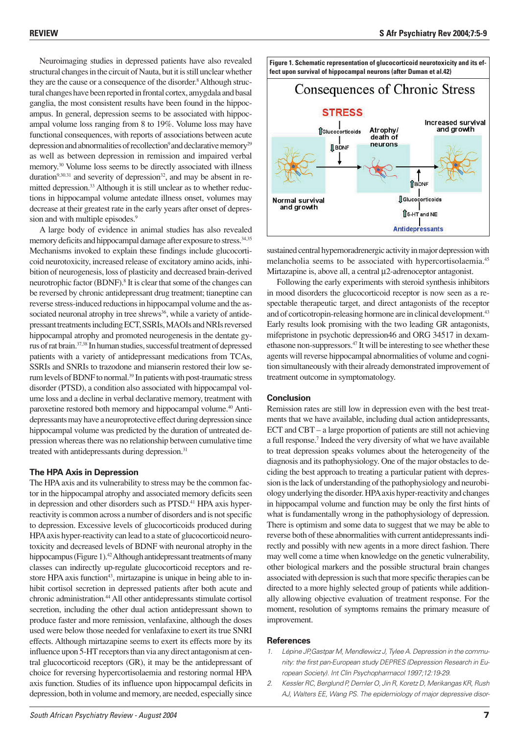Neuroimaging studies in depressed patients have also revealed structural changes in the circuit of Nauta, but it is still unclear whether they are the cause or a consequence of the disorder.<sup>8</sup> Although structural changes have been reported in frontal cortex, amygdala and basal ganglia, the most consistent results have been found in the hippocampus. In general, depression seems to be associated with hippocampal volume loss ranging from 8 to 19%. Volume loss may have functional consequences, with reports of associations between acute depression and abnormalities of recollection<sup>9</sup> and declarative memory<sup>29</sup> as well as between depression in remission and impaired verbal memory.30 Volume loss seems to be directly associated with illness duration<sup>9,30.31</sup> and severity of depression<sup>32</sup>, and may be absent in remitted depression.<sup>33</sup> Although it is still unclear as to whether reductions in hippocampal volume antedate illness onset, volumes may decrease at their greatest rate in the early years after onset of depression and with multiple episodes.<sup>9</sup>

A large body of evidence in animal studies has also revealed memory deficits and hippocampal damage after exposure to stress.<sup>34,35</sup> Mechanisms invoked to explain these findings include glucocorticoid neurotoxicity, increased release of excitatory amino acids, inhibition of neurogenesis, loss of plasticity and decreased brain-derived neurotrophic factor (BDNF).8 It is clear that some of the changes can be reversed by chronic antidepressant drug treatment; tianeptine can reverse stress-induced reductions in hippocampal volume and the associated neuronal atrophy in tree shrews<sup>36</sup>, while a variety of antidepressant treatments including ECT, SSRIs, MAOIs and NRIs reversed hippocampal atrophy and promoted neurogenesis in the dentate gyrus of rat brain.37,38 In human studies, successful treatment of depressed patients with a variety of antidepressant medications from TCAs, SSRIs and SNRIs to trazodone and mianserin restored their low serum levels of BDNF to normal.<sup>39</sup> In patients with post-traumatic stress disorder (PTSD), a condition also associated with hippocampal volume loss and a decline in verbal declarative memory, treatment with paroxetine restored both memory and hippocampal volume.40 Antidepressants may have a neuroprotective effect during depression since hippocampal volume was predicted by the duration of untreated depression whereas there was no relationship between cumulative time treated with antidepressants during depression.<sup>31</sup>

#### **The HPA Axis in Depression**

The HPA axis and its vulnerability to stress may be the common factor in the hippocampal atrophy and associated memory deficits seen in depression and other disorders such as PTSD.<sup>41</sup> HPA axis hyperreactivity is common across a number of disorders and is not specific to depression. Excessive levels of glucocorticoids produced during HPA axis hyper-reactivity can lead to a state of glucocorticoid neurotoxicity and decreased levels of BDNF with neuronal atrophy in the hippocampus (Figure 1).<sup>42</sup> Although antidepressant treatments of many classes can indirectly up-regulate glucocorticoid receptors and restore HPA axis function<sup>43</sup>, mirtazapine is unique in being able to inhibit cortisol secretion in depressed patients after both acute and chronic administration.44 All other antidepressants stimulate cortisol secretion, including the other dual action antidepressant shown to produce faster and more remission, venlafaxine, although the doses used were below those needed for venlafaxine to exert its true SNRI effects. Although mirtazapine seems to exert its effects more by its influence upon 5-HT receptors than via any direct antagonism at central glucocorticoid receptors (GR), it may be the antidepressant of choice for reversing hypercortisolaemia and restoring normal HPA axis function. Studies of its influence upon hippocampal deficits in depression, both in volume and memory, are needed, especially since



sustained central hypernoradrenergic activity in major depression with melancholia seems to be associated with hypercortisolaemia.45 Mirtazapine is, above all, a central  $\mu$ 2-adrenoceptor antagonist.

Following the early experiments with steroid synthesis inhibitors in mood disorders the glucocorticoid receptor is now seen as a respectable therapeutic target, and direct antagonists of the receptor and of corticotropin-releasing hormone are in clinical development.<sup>43</sup> Early results look promising with the two leading GR antagonists, mifepristone in psychotic depression46 and ORG 34517 in dexamethasone non-suppressors.47 It will be interesting to see whether these agents will reverse hippocampal abnormalities of volume and cognition simultaneously with their already demonstrated improvement of treatment outcome in symptomatology.

#### **Conclusion**

Remission rates are still low in depression even with the best treatments that we have available, including dual action antidepressants, ECT and CBT – a large proportion of patients are still not achieving a full response.7 Indeed the very diversity of what we have available to treat depression speaks volumes about the heterogeneity of the diagnosis and its pathophysiology. One of the major obstacles to deciding the best approach to treating a particular patient with depression is the lack of understanding of the pathophysiology and neurobiology underlying the disorder. HPA axis hyper-reactivity and changes in hippocampal volume and function may be only the first hints of what is fundamentally wrong in the pathophysiology of depression. There is optimism and some data to suggest that we may be able to reverse both of these abnormalities with current antidepressants indirectly and possibly with new agents in a more direct fashion. There may well come a time when knowledge on the genetic vulnerability, other biological markers and the possible structural brain changes associated with depression is such that more specific therapies can be directed to a more highly selected group of patients while additionally allowing objective evaluation of treatment response. For the moment, resolution of symptoms remains the primary measure of improvement.

#### **References**

- 1. Lépine JP,Gastpar M, Mendlewicz J, Tylee A. Depression in the community: the first pan-European study DEPRES (Depression Research in European Society). Int Clin Psychopharmacol 1997;12:19-29.
- 2. Kessler RC, Berglund P, Demler O, Jin R, Koretz D, Merikangas KR, Rush AJ, Walters EE, Wang PS. The epidemiology of major depressive disor-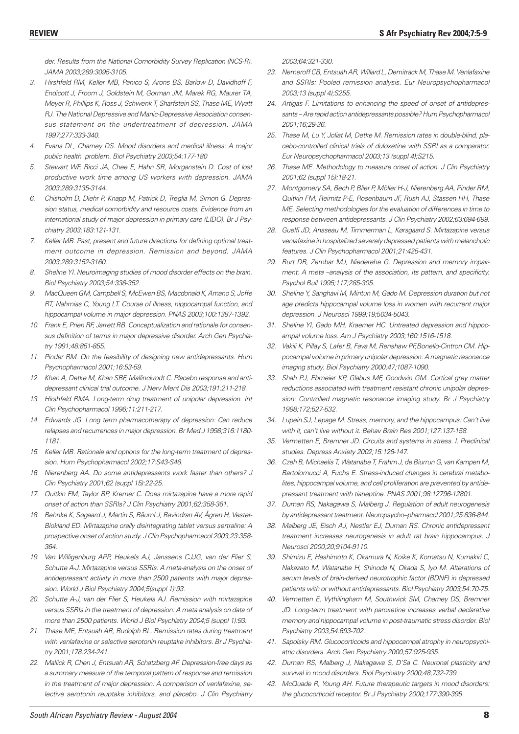der. Results from the National Comorbidity Survey Replication (NCS-R). JAMA 2003;289:3095-3105.

- 3. Hirshfeld RM, Keller MB, Panico S, Arons BS, Barlow D, Davidhoff F, Endicott J, Froom J, Goldstein M, Gorman JM, Marek RG, Maurer TA, Meyer R, Phillips K, Ross J, Schwenk T, Sharfstein SS, Thase ME, Wyatt RJ. The National Depressive and Manic-Depressive Association consensus statement on the undertreatment of depression. JAMA 1997;277:333-340.
- 4. Evans DL, Charney DS. Mood disorders and medical illness: A major public health problem. Biol Psychiatry 2003;54:177-180
- 5. Stewart WF, Ricci JA, Chee E, Hahn SR, Morganstein D. Cost of lost productive work time among US workers with depression. JAMA 2003;289:3135-3144.
- 6. Chisholm D, Diehr P, Knapp M, Patrick D, Treglia M, Simon G. Depression status, medical comorbidity and resource costs. Evidence from an international study of major depression in primary care (LIDO). Br J Psychiatry 2003;183:121-131.
- 7. Keller MB. Past, present and future directions for defining optimal treatment outcome in depression. Remission and beyond. JAMA 2003;289:3152-3160.
- 8. Sheline YI. Neuroimaging studies of mood disorder effects on the brain. Biol Psychiatry 2003;54:338-352.
- 9. MacQueen GM, Campbell S, McEwen BS, Macdonald K, Amano S, Joffe RT, Nahmias C, Young LT. Course of illness, hippocampal function, and hippocampal volume in major depression. PNAS 2003;100:1387-1392.
- 10. Frank E, Prien RF, Jarrett RB. Conceptualization and rationale for consensus definition of terms in major depressive disorder. Arch Gen Psychiatry 1991;48:851-855.
- 11. Pinder RM. On the feasibility of designing new antidepressants. Hum Psychopharmacol 2001;16:53-59.
- 12. Khan A, Detke M, Khan SRF, Mallinckrodt C. Placebo response and antidepressant clinical trial outcome. J Nerv Ment Dis 2003;191:211-218.
- 13. Hirshfeld RMA. Long-term drug treatment of unipolar depression. Int Clin Psychopharmacol 1996;11:211-217.
- 14. Edwards JG. Long term pharmacotherapy of depression: Can reduce relapses and recurrences in major depression. Br Med J 1998;316:1180- 1181.
- 15. Keller MB. Rationale and options for the long-term treatment of depression. Hum Psychopharmacol 2002;17:S43-S46.
- 16. Nierenberg AA. Do some antidepressants work faster than others? J Clin Psychiatry 2001;62 (suppl 15):22-25.
- 17. Quitkin FM, Taylor BP, Kremer C. Does mirtazapine have a more rapid onset of action than SSRIs? J Clin Psychiatry 2001;62:358-361.
- 18. Behnke K, Søgaard J, Martin S, Bäuml J, Ravindran AV, Ågren H, Vester-Blokland ED. Mirtazapine orally disintegrating tablet versus sertraline: A prospective onset of action study. J Clin Psychopharmacol 2003;23:358- 364.
- 19. Van Willigenburg APP, Heukels AJ, Janssens CJJG, van der Flier S, Schutte A-J. Mirtazapine versus SSRIs: A meta-analysis on the onset of antidepressant activity in more than 2500 patients with major depression. World J Biol Psychiatry 2004;5(suppl 1):93.
- 20. Schutte A-J, van der Flier S, Heukels AJ. Remission with mirtazapine versus SSRIs in the treatment of depression: A meta analysis on data of more than 2500 patients. World J Biol Psychiatry 2004;5 (suppl 1):93.
- 21. Thase ME, Entsuah AR, Rudolph RL. Remission rates during treatment with venlafaxine or selective serotonin reuptake inhibitors. Br J Psychiatry 2001;178:234-241.
- 22. Mallick R, Chen J, Entsuah AR, Schatzberg AF. Depression-free days as a summary measure of the temporal pattern of response and remission in the treatment of major depression: A comparison of venlafaxine, selective serotonin reuptake inhibitors, and placebo. J Clin Psychiatry

2003;64:321-330.

- 23. Nemeroff CB, Entsuah AR, Willard L, Demitrack M, Thase M. Venlafaxine and SSRIs: Pooled remission analysis. Eur Neuropsychopharmacol 2003;13 (suppl 4);S255.
- 24. Artigas F. Limitations to enhancing the speed of onset of antidepressants – Are rapid action antidepressants possible? Hum Psychopharmacol 2001;16;29-36.
- 25. Thase M, Lu Y, Joliat M, Detke M. Remission rates in double-blind, placebo-controlled clinical trials of duloxetine with SSRI as a comparator. Eur Neuropsychopharmacol 2003;13 (suppl 4);S215.
- 26. Thase ME. Methodology to measure onset of action. J Clin Psychiatry 2001;62 (suppl 15):18-21.
- 27. Montgomery SA, Bech P, Blier P, Möller H-J, Nierenberg AA, Pinder RM, Quitkin FM, Reimitz P-E, Rosenbaum JF, Rush AJ, Stassen HH, Thase ME. Selecting methodologies for the evaluation of differences in time to response between antidepressants. J Clin Psychiatry 2002;63:694-699.
- 28. Guelfi JD, Ansseau M, Timmerman L, Kørsgaard S. Mirtazapine versus venlafaxine in hospitalized severely depressed patients with melancholic features. J Clin Psychopharmacol 2001;21:425-431.
- 29. Burt DB, Zembar MJ, Niederehe G. Depression and memory impairment: A meta –analysis of the association, its pattern, and specificity. Psychol Bull 1995;117;285-305.
- 30. Sheline Y, Sanghavi M, Mintun M, Gado M. Depression duration but not age predicts hippocampal volume loss in women with recurrent major depression. J Neurosci 1999;19;5034-5043.
- 31. Sheline YI, Gado MH, Kraemer HC. Untreated depression and hippocampal volume loss. Am J Psychiatry 2003;160:1516-1518.
- 32. Vakili K, Pillay S, Lafer B, Fava M, Renshaw PF,Bonello-Cintron CM. Hippocampal volume in primary unipolar depression: A magnetic resonance imaging study. Biol Psychiatry 2000;47;1087-1090.
- 33. Shah PJ, Ebmeier KP, Glabus MF, Goodwin GM. Cortical grey matter reductions associated with treatment resistant chronic unipolar depression: Controlled magnetic resonance imaging study. Br J Psychiatry 1998;172;527-532.
- 34. Lupein SJ, Lepage M. Stress, memory, and the hippocampus: Can't live with it, can't live without it. Behav Brain Res 2001;127:137-158.
- 35. Vermetten E, Bremner JD. Circuits and systems in stress. I. Preclinical studies. Depress Anxiety 2002;15:126-147.
- 36. Czeh B, Michaelis T, Watanabe T, Frahm J, de Biurrun G, van Kampen M, Bartolomucci A, Fuchs E. Stress-induced changes in cerebral metabolites, hippocampal volume, and cell proliferation are prevented by antidepressant treatment with tianeptine. PNAS 2001;98:12796-12801.
- 37. Duman RS, Nakagawa S, Malberg J. Regulation of adult neurogenesis by antidepressant treatment. Neuropsycho–pharmacol 2001;25:836-844.
- 38. Malberg JE, Eisch AJ, Nestler EJ, Duman RS. Chronic antidepressant treatment increases neurogenesis in adult rat brain hippocampus. J Neurosci 2000;20;9104-9110.
- 39. Shimizu E, Hashimoto K, Okamura N, Koike K, Komatsu N, Kumakiri C, Nakazato M, Watanabe H, Shinoda N, Okada S, Iyo M. Alterations of serum levels of brain-derived neurotrophic factor (BDNF) in depressed patients with or without antidepressants. Biol Psychiatry 2003;54:70-75.
- 40. Vermetten E, Vythilingham M, Southwick SM, Charney DS, Bremner JD. Long-term treatment with paroxetine increases verbal declarative memory and hippocampal volume in post-traumatic stress disorder. Biol Psychiatry 2003;54:693-702.
- 41. Sapolsky RM. Glucocorticoids and hippocampal atrophy in neuropsychiatric disorders. Arch Gen Psychiatry 2000;57:925-935.
- 42. Duman RS, Malberg J, Nakagawa S, D'Sa C. Neuronal plasticity and survival in mood disorders. Biol Psychiatry 2000;48;732-739.
- 43. McQuade R, Young AH. Future therapeutic targets in mood disorders: the glucocorticoid receptor. Br J Psychiatry 2000;177:390-395